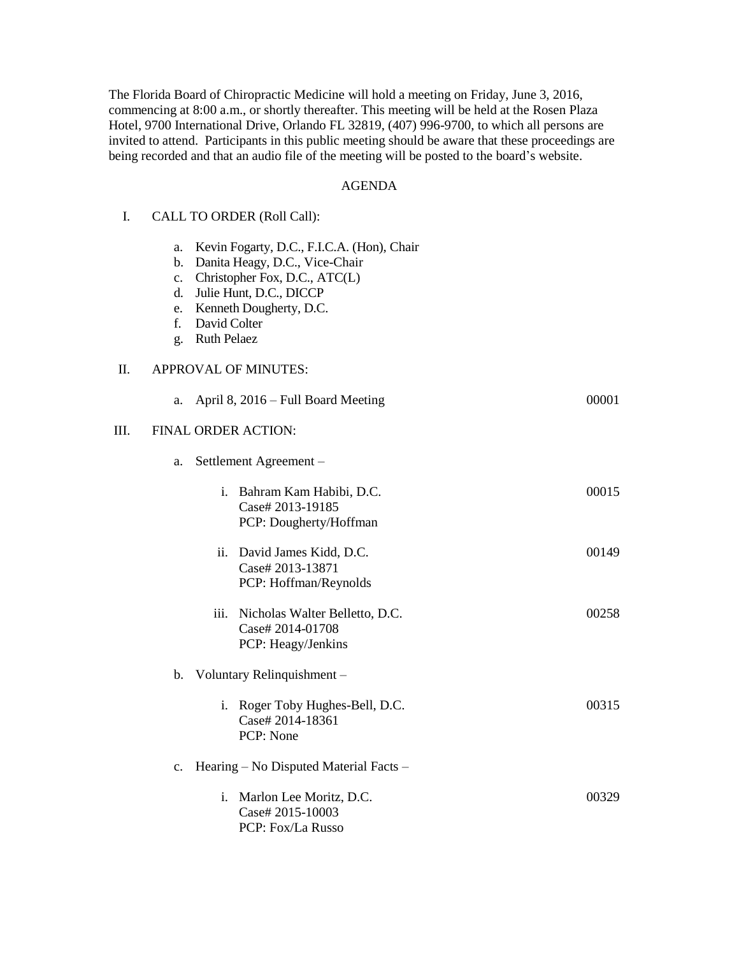The Florida Board of Chiropractic Medicine will hold a meeting on Friday, June 3, 2016, commencing at 8:00 a.m., or shortly thereafter. This meeting will be held at the Rosen Plaza Hotel, 9700 International Drive, Orlando FL 32819, (407) 996-9700, to which all persons are invited to attend. Participants in this public meeting should be aware that these proceedings are being recorded and that an audio file of the meeting will be posted to the board's website.

### AGENDA

| I. |  |  | CALL TO ORDER (Roll Call): |  |  |
|----|--|--|----------------------------|--|--|
|----|--|--|----------------------------|--|--|

- a. Kevin Fogarty, D.C., F.I.C.A. (Hon), Chair
- b. Danita Heagy, D.C., Vice-Chair
- c. Christopher Fox, D.C., ATC(L)
- d. Julie Hunt, D.C., DICCP
- e. Kenneth Dougherty, D.C.
- f. David Colter
- g. Ruth Pelaez

## II. APPROVAL OF MINUTES:

|    | a. | April 8, 2016 – Full Board Meeting                                            | 00001 |
|----|----|-------------------------------------------------------------------------------|-------|
| Ш. |    | FINAL ORDER ACTION:                                                           |       |
|    | a. | Settlement Agreement -                                                        |       |
|    |    | Bahram Kam Habibi, D.C.<br>i.<br>Case# 2013-19185<br>PCP: Dougherty/Hoffman   | 00015 |
|    |    | David James Kidd, D.C.<br>ii.<br>Case# 2013-13871<br>PCP: Hoffman/Reynolds    | 00149 |
|    |    | iii. Nicholas Walter Belletto, D.C.<br>Case# 2014-01708<br>PCP: Heagy/Jenkins | 00258 |
|    |    | b. Voluntary Relinquishment -                                                 |       |
|    |    | i. Roger Toby Hughes-Bell, D.C.<br>Case# 2014-18361<br>PCP: None              | 00315 |
|    | c. | Hearing – No Disputed Material Facts –                                        |       |
|    |    | i. Marlon Lee Moritz, D.C.<br>Case# 2015-10003<br>PCP: Fox/La Russo           | 00329 |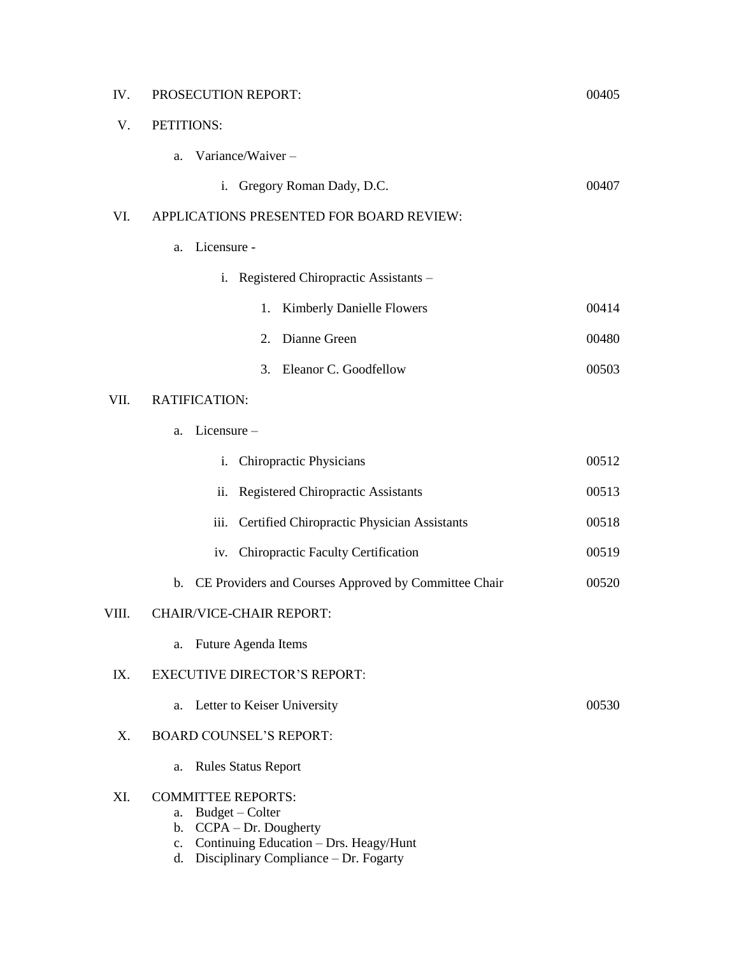| IV.   | PROSECUTION REPORT:                                                                                                                                                                         | 00405 |  |  |  |
|-------|---------------------------------------------------------------------------------------------------------------------------------------------------------------------------------------------|-------|--|--|--|
| V.    | PETITIONS:                                                                                                                                                                                  |       |  |  |  |
|       | Variance/Waiver-<br>a.                                                                                                                                                                      |       |  |  |  |
|       | Gregory Roman Dady, D.C.<br>$i_{-}$                                                                                                                                                         | 00407 |  |  |  |
| VI.   | APPLICATIONS PRESENTED FOR BOARD REVIEW:                                                                                                                                                    |       |  |  |  |
|       | Licensure -<br>a.                                                                                                                                                                           |       |  |  |  |
|       | Registered Chiropractic Assistants -<br>i.                                                                                                                                                  |       |  |  |  |
|       | <b>Kimberly Danielle Flowers</b><br>1.                                                                                                                                                      | 00414 |  |  |  |
|       | Dianne Green<br>2.                                                                                                                                                                          | 00480 |  |  |  |
|       | Eleanor C. Goodfellow<br>3.                                                                                                                                                                 | 00503 |  |  |  |
| VII.  | RATIFICATION:                                                                                                                                                                               |       |  |  |  |
|       | Licensure-<br>a.                                                                                                                                                                            |       |  |  |  |
|       | <b>Chiropractic Physicians</b><br>i.                                                                                                                                                        | 00512 |  |  |  |
|       | <b>Registered Chiropractic Assistants</b><br>ii.                                                                                                                                            | 00513 |  |  |  |
|       | Certified Chiropractic Physician Assistants<br>iii.                                                                                                                                         | 00518 |  |  |  |
|       | <b>Chiropractic Faculty Certification</b><br>iv.                                                                                                                                            | 00519 |  |  |  |
|       | CE Providers and Courses Approved by Committee Chair<br>$\mathbf{b}$ .                                                                                                                      | 00520 |  |  |  |
| VIII. | <b>CHAIR/VICE-CHAIR REPORT:</b>                                                                                                                                                             |       |  |  |  |
|       | Future Agenda Items<br>a.                                                                                                                                                                   |       |  |  |  |
| IX.   | <b>EXECUTIVE DIRECTOR'S REPORT:</b>                                                                                                                                                         |       |  |  |  |
|       | Letter to Keiser University<br>a.                                                                                                                                                           | 00530 |  |  |  |
| X.    | <b>BOARD COUNSEL'S REPORT:</b>                                                                                                                                                              |       |  |  |  |
|       | <b>Rules Status Report</b><br>a.                                                                                                                                                            |       |  |  |  |
| XI.   | <b>COMMITTEE REPORTS:</b><br>Budget - Colter<br>a.<br>CCPA - Dr. Dougherty<br>b.<br>Continuing Education - Drs. Heagy/Hunt<br>$\mathbf{c}$ .<br>Disciplinary Compliance - Dr. Fogarty<br>d. |       |  |  |  |